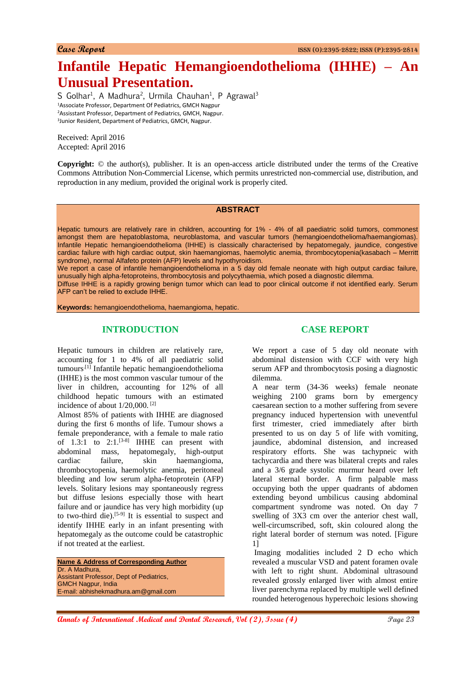# **Infantile Hepatic Hemangioendothelioma (IHHE) – An Unusual Presentation.**

S Golhar<sup>1</sup>, A Madhura<sup>2</sup>, Urmila Chauhan<sup>1</sup>, P Agrawal<sup>3</sup> Associate Professor, Department Of Pediatrics, GMCH Nagpur Assisstant Professor, Department of Pediatrics, GMCH, Nagpur. Junior Resident, Department of Pediatrics, GMCH, Nagpur.

Received: April 2016 Accepted: April 2016

**Copyright:** © the author(s), publisher. It is an open-access article distributed under the terms of the Creative Commons Attribution Non-Commercial License, which permits unrestricted non-commercial use, distribution, and reproduction in any medium, provided the original work is properly cited.

#### **ABSTRACT**

Hepatic tumours are relatively rare in children, accounting for 1% - 4% of all paediatric solid tumors, commonest amongst them are hepatoblastoma, neuroblastoma, and vascular tumors (hemangioendothelioma/haemangiomas). Infantile Hepatic hemangioendothelioma (IHHE) is classically characterised by hepatomegaly, jaundice, congestive cardiac failure with high cardiac output, skin haemangiomas, haemolytic anemia, thrombocytopenia(kasabach – Merritt syndrome), normal Alfafeto protein (AFP) levels and hypothyroidism.

We report a case of infantile hemangioendothelioma in a 5 day old female neonate with high output cardiac failure, unusually high alpha-fetoproteins, thrombocytosis and polycythaemia, which posed a diagnostic dilemma.

Diffuse IHHE is a rapidly growing benign tumor which can lead to poor clinical outcome if not identified early. Serum AFP can't be relied to exclude IHHE.

**Keywords:** hemangioendothelioma, haemangioma, hepatic.

# **INTRODUCTION**

Hepatic tumours in children are relatively rare, accounting for 1 to 4% of all paediatric solid tumours.[1] Infantile hepatic hemangioendothelioma (IHHE) is the most common vascular tumour of the liver in children, accounting for 12% of all childhood hepatic tumours with an estimated incidence of about 1/20,000. [2]

Almost 85% of patients with IHHE are diagnosed during the first 6 months of life. Tumour shows a female preponderance, with a female to male ratio of  $1.3:1$  to  $2:1.^{[3-8]}$  IHHE can present with abdominal mass, hepatomegaly, high-output cardiac failure, skin haemangioma, thrombocytopenia, haemolytic anemia, peritoneal bleeding and low serum alpha-fetoprotein (AFP) levels. Solitary lesions may spontaneously regress but diffuse lesions especially those with heart failure and or jaundice has very high morbidity (up to two-third die).<sup>[5-9]</sup> It is essential to suspect and identify IHHE early in an infant presenting with hepatomegaly as the outcome could be catastrophic if not treated at the earliest.

**Name & Address of Corresponding Author** Dr. A Madhura, Assistant Professor, Dept of Pediatrics, GMCH Nagpur, India E-mail: abhishekmadhura.am@gmail.com

## **CASE REPORT**

We report a case of 5 day old neonate with abdominal distension with CCF with very high serum AFP and thrombocytosis posing a diagnostic dilemma.

A near term (34-36 weeks) female neonate weighing 2100 grams born by emergency caesarean section to a mother suffering from severe pregnancy induced hypertension with uneventful first trimester, cried immediately after birth presented to us on day 5 of life with vomiting, jaundice, abdominal distension, and increased respiratory efforts. She was tachypneic with tachycardia and there was bilateral crepts and rales and a 3/6 grade systolic murmur heard over left lateral sternal border. A firm palpable mass occupying both the upper quadrants of abdomen extending beyond umbilicus causing abdominal compartment syndrome was noted. On day 7 swelling of 3X3 cm over the anterior chest wall, well-circumscribed, soft, skin coloured along the right lateral border of sternum was noted. [Figure 1]

Imaging modalities included 2 D echo which revealed a muscular VSD and patent foramen ovale with left to right shunt. Abdominal ultrasound revealed grossly enlarged liver with almost entire liver parenchyma replaced by multiple well defined rounded heterogenous hyperechoic lesions showing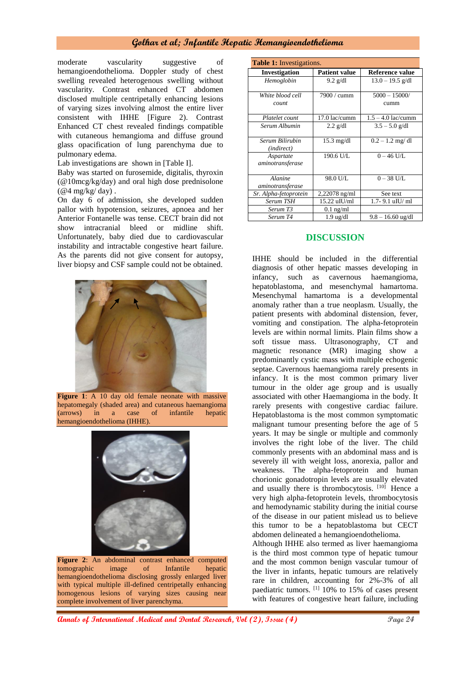## **Golhar et al; Infantile Hepatic Hemangioendothelioma**

moderate vascularity suggestive of hemangioendothelioma. Doppler study of chest swelling revealed heterogenous swelling without vascularity. Contrast enhanced CT abdomen disclosed multiple centripetally enhancing lesions of varying sizes involving almost the entire liver consistent with IHHE [Figure 2). Contrast Enhanced CT chest revealed findings compatible with cutaneous hemangioma and diffuse ground glass opacification of lung parenchyma due to pulmonary edema.

Lab investigations are shown in [Table I].

Baby was started on furosemide, digitalis, thyroxin (@10mcg/kg/day) and oral high dose prednisolone  $(Q_4 \text{mg/kg}/\text{day})$ .

On day 6 of admission, she developed sudden pallor with hypotension, seizures, apnoea and her Anterior Fontanelle was tense. CECT brain did not show intracranial bleed or midline shift. Unfortunately, baby died due to cardiovascular instability and intractable congestive heart failure. As the parents did not give consent for autopsy, liver biopsy and CSF sample could not be obtained.



Figure 1: A 10 day old female neonate with massive hepatomegaly (shaded area) and cutaneous haemangioma (arrows) in a case of infantile hepatic hemangioendothelioma (IHHE).



**Figure 2**: An abdominal contrast enhanced computed tomographic image of Infantile hepatic hemangioendothelioma disclosing grossly enlarged liver with typical multiple ill-defined centripetally enhancing homogenous lesions of varying sizes causing near complete involvement of liver parenchyma.

| <b>Table 1:</b> Investigations. |                      |                      |
|---------------------------------|----------------------|----------------------|
| <b>Investigation</b>            | <b>Patient value</b> | Reference value      |
| Hemoglobin                      | $9.2$ g/dl           | $13.0 - 19.5$ g/dl   |
|                                 |                      |                      |
| White blood cell                | 7900 / cumm          | $5000 - 15000$       |
| count                           |                      | cumm                 |
| Platelet count                  | 17.0 lac/cumm        | $1.5 - 4.0$ lac/cumm |
| Serum Albumin                   | $2.2$ g/dl           | $3.5 - 5.0$ g/dl     |
|                                 |                      |                      |
| Serum Bilirubin                 | $15.3 \text{ mg/dl}$ | $0.2 - 1.2$ mg/dl    |
| ( <i>indirect</i> )             |                      |                      |
| Aspartate                       | 190.6 U/L            | $0 - 46$ U/L         |
| aminotransferase                |                      |                      |
| Alanine                         | 98.0 U/L             | $0 - 38$ U/L         |
|                                 |                      |                      |
| aminotransferase                |                      |                      |
| Sr. Alpha-fetoprotein           | $2,22078$ ng/ml      | See text             |
| Serum TSH                       | 15.22 uIU/ml         | 1.7-9.1 uIU/ml       |
| Serum T3                        | $0.1$ ng/ml          |                      |
| Serum T4                        | $1.9 \text{ ug/dl}$  | $9.8 - 16.60$ ug/dl  |

#### **DISCUSSION**

IHHE should be included in the differential diagnosis of other hepatic masses developing in infancy, such as cavernous haemangioma, hepatoblastoma, and mesenchymal hamartoma. Mesenchymal hamartoma is a developmental anomaly rather than a true neoplasm. Usually, the patient presents with abdominal distension, fever, vomiting and constipation. The alpha-fetoprotein levels are within normal limits. Plain films show a soft tissue mass. Ultrasonography, CT and magnetic resonance (MR) imaging show a predominantly cystic mass with multiple echogenic septae. Cavernous haemangioma rarely presents in infancy. It is the most common primary liver tumour in the older age group and is usually associated with other Haemangioma in the body. It rarely presents with congestive cardiac failure. Hepatoblastoma is the most common symptomatic malignant tumour presenting before the age of 5 years. It may be single or multiple and commonly involves the right lobe of the liver. The child commonly presents with an abdominal mass and is severely ill with weight loss, anorexia, pallor and weakness. The alpha-fetoprotein and human chorionic gonadotropin levels are usually elevated and usually there is thrombocytosis. [10] Hence a very high alpha-fetoprotein levels, thrombocytosis and hemodynamic stability during the initial course of the disease in our patient mislead us to believe this tumor to be a hepatoblastoma but CECT abdomen delineated a hemangioendothelioma.

Although IHHE also termed as liver haemangioma is the third most common type of hepatic tumour and the most common benign vascular tumour of the liver in infants, hepatic tumours are relatively rare in children, accounting for 2%-3% of all paediatric tumors. [1] 10% to 15% of cases present with features of congestive heart failure, including